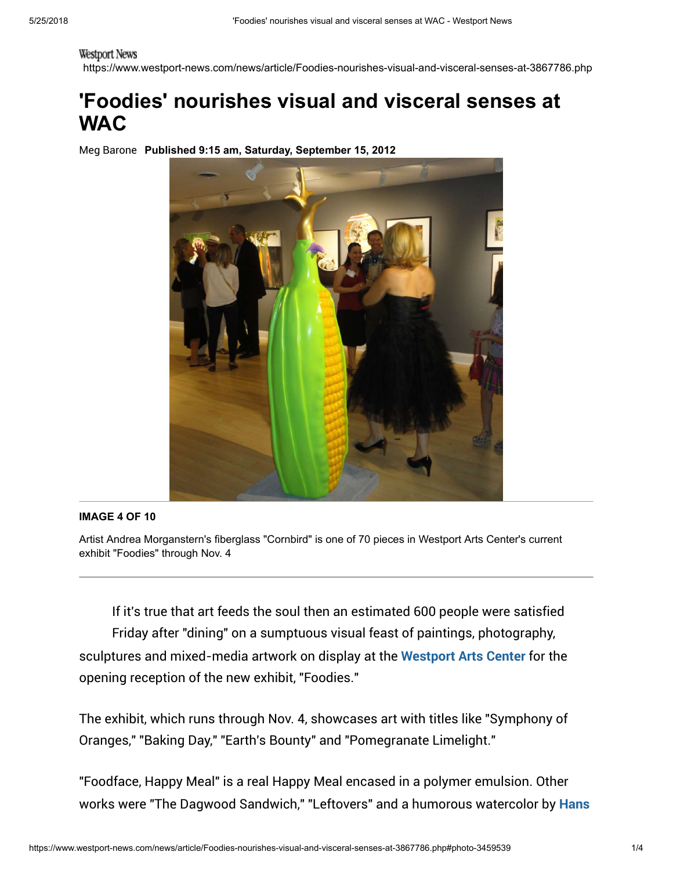## Westport News

https://www.westport-news.com/news/article/Foodies-nourishes-visual-and-visceral-senses-at-3867786.php

## 'Foodies' nourishes visual and visceral senses at **WAC**

Meg Barone Published 9:15 am, Saturday, September 15, 2012



## IMAGE 4 OF 10

Artist Andrea Morganstern's fiberglass "Cornbird" is one of 70 pieces in Westport Arts Center's current exhibit "Foodies" through Nov. 4

If it's true that art feeds the soul then an estimated 600 people were satisfied Friday after "dining" on a sumptuous visual feast of paintings, photography, sculptures and mixed-media artwork on display at the [Westport Arts Center](https://www.westport-news.com/search/?action=search&channel=news&inlineLink=1&searchindex=solr&query=%22Westport+Arts+Center%22) for the opening reception of the new exhibit, "Foodies."

The exhibit, which runs through Nov. 4, showcases art with titles like "Symphony of Oranges," "Baking Day," "Earth's Bounty" and "Pomegranate Limelight."

"Foodface, Happy Meal" is a real Happy Meal encased in a polymer emulsion. Other [works were "The Dagwood Sandwich," "Leftovers" and a humorous watercolor by](https://www.westport-news.com/search/?action=search&channel=news&inlineLink=1&searchindex=solr&query=%22Hans+Wilhelm%22) Hans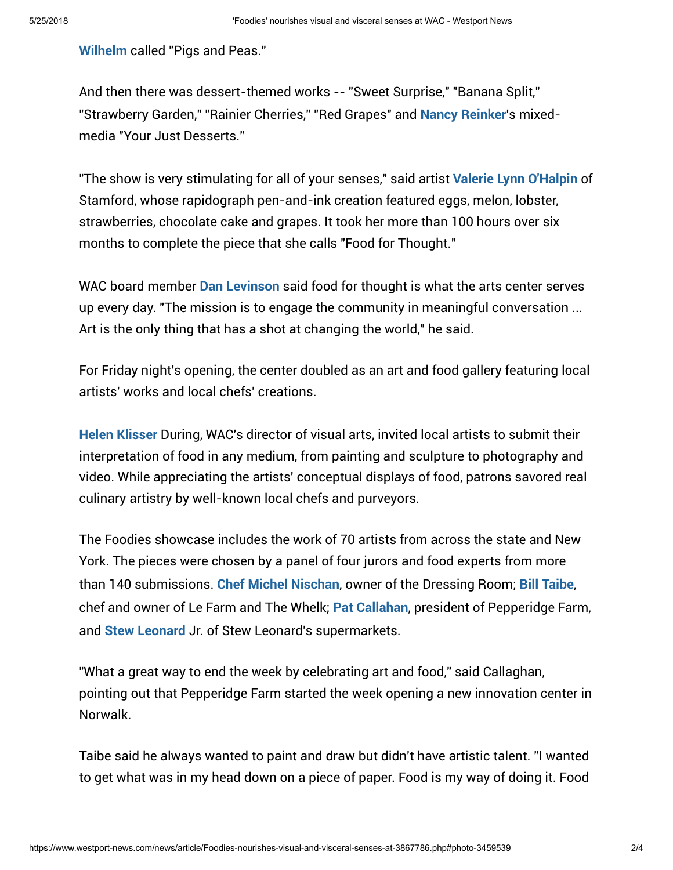Wilhelm [called "Pigs and Peas."](https://www.westport-news.com/search/?action=search&channel=news&inlineLink=1&searchindex=solr&query=%22Hans+Wilhelm%22)

And then there was dessert-themed works -- "Sweet Surprise," "Banana Split," "Strawberry Garden," "Rainier Cherries," "Red Grapes" and [Nancy Reinker](https://www.westport-news.com/search/?action=search&channel=news&inlineLink=1&searchindex=solr&query=%22Nancy+Reinker%22)'s mixedmedia "Your Just Desserts."

"The show is very stimulating for all of your senses," said artist [Valerie Lynn O'Halpin](https://www.westport-news.com/search/?action=search&channel=news&inlineLink=1&searchindex=solr&query=%22Valerie+Lynn+O%27Halpin%22) of Stamford, whose rapidograph pen-and-ink creation featured eggs, melon, lobster, strawberries, chocolate cake and grapes. It took her more than 100 hours over six months to complete the piece that she calls "Food for Thought."

WAC board member **[Dan Levinson](https://www.westport-news.com/search/?action=search&channel=news&inlineLink=1&searchindex=solr&query=%22Dan+Levinson%22)** said food for thought is what the arts center serves up every day. "The mission is to engage the community in meaningful conversation ... Art is the only thing that has a shot at changing the world," he said.

For Friday night's opening, the center doubled as an art and food gallery featuring local artists' works and local chefs' creations.

[Helen Klisser](https://www.westport-news.com/search/?action=search&channel=news&inlineLink=1&searchindex=solr&query=%22Helen+Klisser%22) During, WAC's director of visual arts, invited local artists to submit their interpretation of food in any medium, from painting and sculpture to photography and video. While appreciating the artists' conceptual displays of food, patrons savored real culinary artistry by well-known local chefs and purveyors.

The Foodies showcase includes the work of 70 artists from across the state and New York. The pieces were chosen by a panel of four jurors and food experts from more than 140 submissions. [Chef Michel Nischan](https://www.westport-news.com/search/?action=search&channel=news&inlineLink=1&searchindex=solr&query=%22Chef+Michel+Nischan%22), owner of the Dressing Room; [Bill Taibe](https://www.westport-news.com/search/?action=search&channel=news&inlineLink=1&searchindex=solr&query=%22Bill+Taibe%22), chef and owner of Le Farm and The Whelk; [Pat Callahan](https://www.westport-news.com/search/?action=search&channel=news&inlineLink=1&searchindex=solr&query=%22Pat+Callahan%22), president of Pepperidge Farm, and [Stew Leonard](https://www.westport-news.com/search/?action=search&channel=news&inlineLink=1&searchindex=solr&query=%22Stew+Leonard%22) Jr. of Stew Leonard's supermarkets.

"What a great way to end the week by celebrating art and food," said Callaghan, pointing out that Pepperidge Farm started the week opening a new innovation center in Norwalk.

Taibe said he always wanted to paint and draw but didn't have artistic talent. "I wanted to get what was in my head down on a piece of paper. Food is my way of doing it. Food